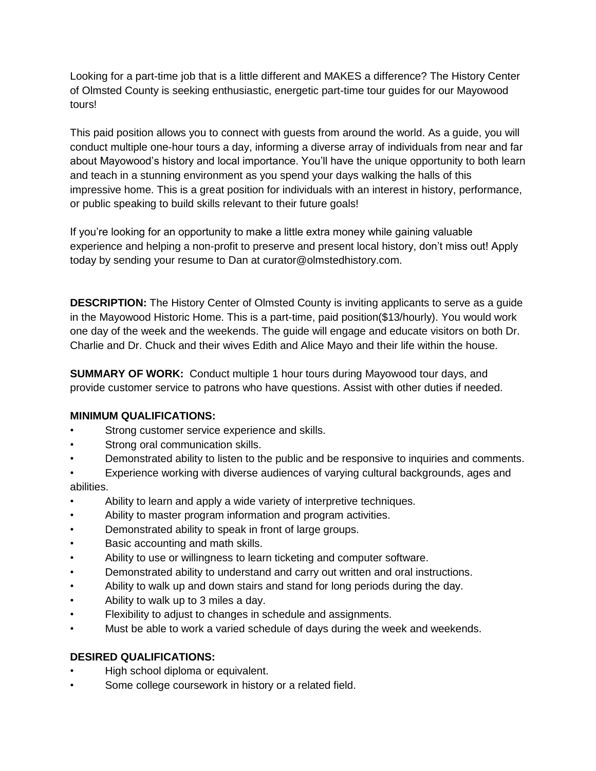Looking for a part-time job that is a little different and MAKES a difference? The History Center of Olmsted County is seeking enthusiastic, energetic part-time tour guides for our Mayowood tours!

This paid position allows you to connect with guests from around the world. As a guide, you will conduct multiple one-hour tours a day, informing a diverse array of individuals from near and far about Mayowood's history and local importance. You'll have the unique opportunity to both learn and teach in a stunning environment as you spend your days walking the halls of this impressive home. This is a great position for individuals with an interest in history, performance, or public speaking to build skills relevant to their future goals!

If you're looking for an opportunity to make a little extra money while gaining valuable experience and helping a non-profit to preserve and present local history, don't miss out! Apply today by sending your resume to Dan at curator@olmstedhistory.com.

**DESCRIPTION:** The History Center of Olmsted County is inviting applicants to serve as a guide in the Mayowood Historic Home. This is a part-time, paid position(\$13/hourly). You would work one day of the week and the weekends. The guide will engage and educate visitors on both Dr. Charlie and Dr. Chuck and their wives Edith and Alice Mayo and their life within the house.

**SUMMARY OF WORK:** Conduct multiple 1 hour tours during Mayowood tour days, and provide customer service to patrons who have questions. Assist with other duties if needed.

## **MINIMUM QUALIFICATIONS:**

- Strong customer service experience and skills.
- Strong oral communication skills.
- Demonstrated ability to listen to the public and be responsive to inquiries and comments.

• Experience working with diverse audiences of varying cultural backgrounds, ages and abilities.

- Ability to learn and apply a wide variety of interpretive techniques.
- Ability to master program information and program activities.
- Demonstrated ability to speak in front of large groups.
- Basic accounting and math skills.
- Ability to use or willingness to learn ticketing and computer software.
- Demonstrated ability to understand and carry out written and oral instructions.
- Ability to walk up and down stairs and stand for long periods during the day.
- Ability to walk up to 3 miles a day.
- Flexibility to adjust to changes in schedule and assignments.
- Must be able to work a varied schedule of days during the week and weekends.

## **DESIRED QUALIFICATIONS:**

- High school diploma or equivalent.
- Some college coursework in history or a related field.